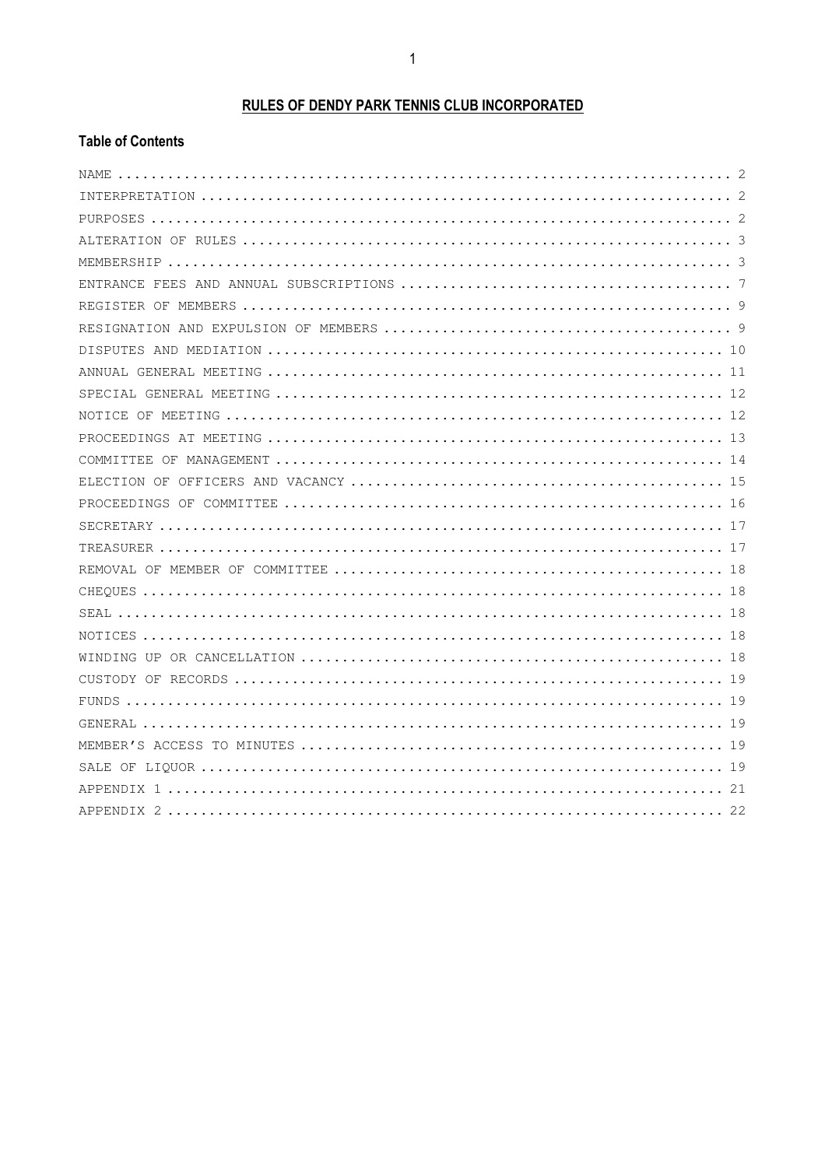# **RULES OF DENDY PARK TENNIS CLUB INCORPORATED**

## **Table of Contents**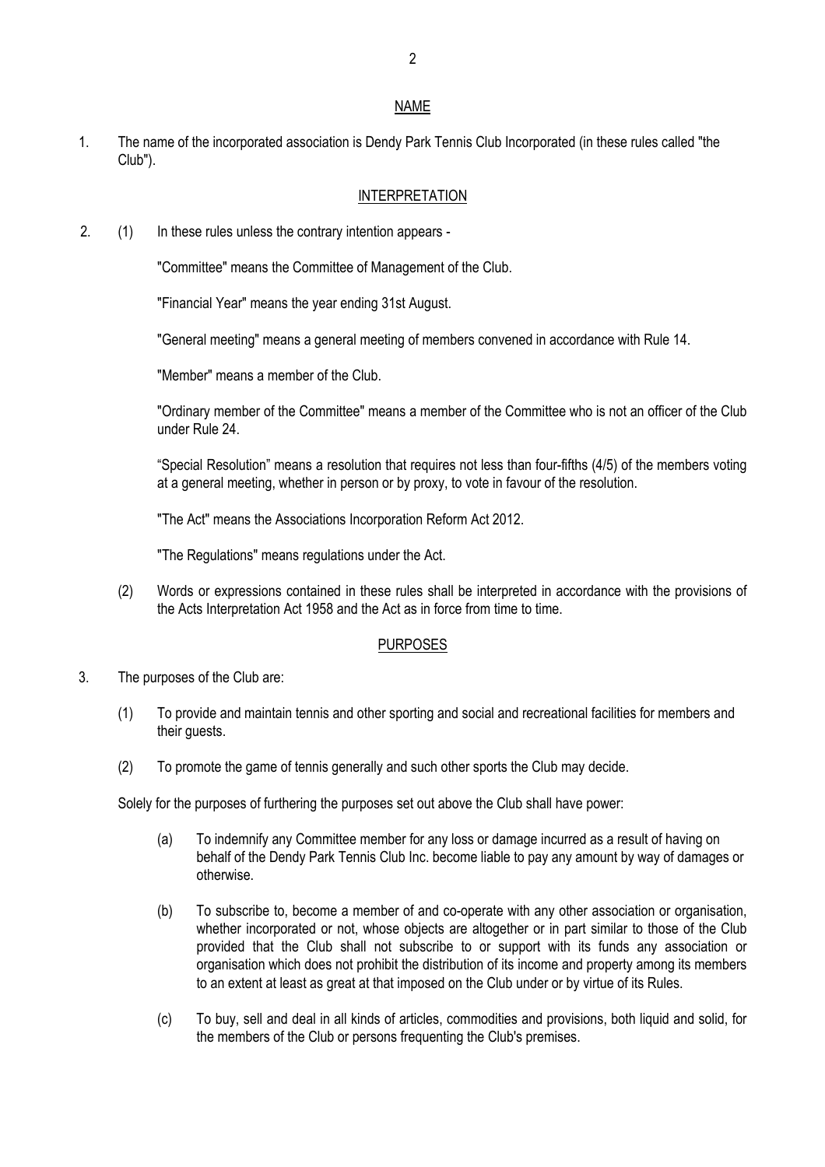#### NAME

1. The name of the incorporated association is Dendy Park Tennis Club Incorporated (in these rules called "the Club").

#### INTERPRETATION

2. (1) In these rules unless the contrary intention appears -

"Committee" means the Committee of Management of the Club.

"Financial Year" means the year ending 31st August.

"General meeting" means a general meeting of members convened in accordance with Rule 14.

"Member" means a member of the Club.

"Ordinary member of the Committee" means a member of the Committee who is not an officer of the Club under Rule 24.

"Special Resolution" means a resolution that requires not less than four-fifths (4/5) of the members voting at a general meeting, whether in person or by proxy, to vote in favour of the resolution.

"The Act" means the Associations Incorporation Reform Act 2012.

"The Regulations" means regulations under the Act.

(2) Words or expressions contained in these rules shall be interpreted in accordance with the provisions of the Acts Interpretation Act 1958 and the Act as in force from time to time.

#### PURPOSES

- 3. The purposes of the Club are:
	- (1) To provide and maintain tennis and other sporting and social and recreational facilities for members and their guests.
	- (2) To promote the game of tennis generally and such other sports the Club may decide.

Solely for the purposes of furthering the purposes set out above the Club shall have power:

- (a) To indemnify any Committee member for any loss or damage incurred as a result of having on behalf of the Dendy Park Tennis Club Inc. become liable to pay any amount by way of damages or otherwise.
- (b) To subscribe to, become a member of and co-operate with any other association or organisation, whether incorporated or not, whose objects are altogether or in part similar to those of the Club provided that the Club shall not subscribe to or support with its funds any association or organisation which does not prohibit the distribution of its income and property among its members to an extent at least as great at that imposed on the Club under or by virtue of its Rules.
- (c) To buy, sell and deal in all kinds of articles, commodities and provisions, both liquid and solid, for the members of the Club or persons frequenting the Club's premises.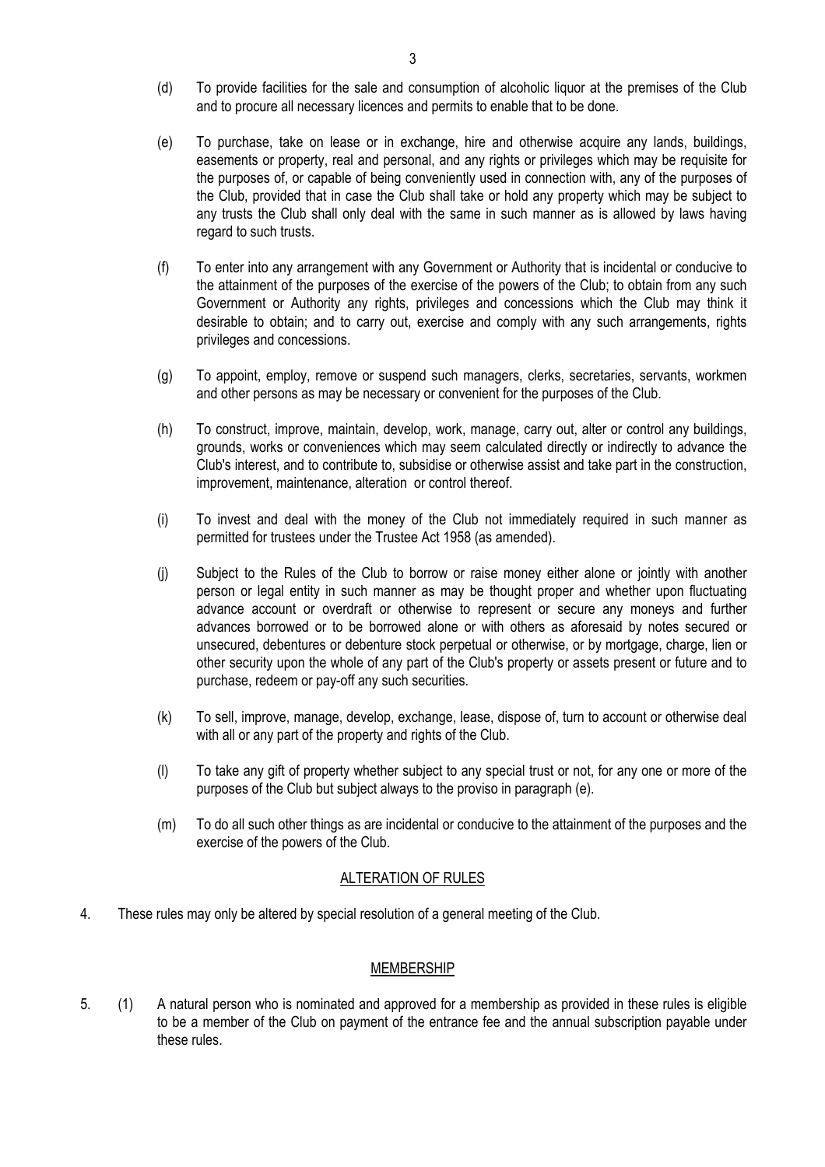- (d) To provide facilities for the sale and consumption of alcoholic liquor at the premises of the Club and to procure all necessary licences and permits to enable that to be done.
- (e) To purchase, take on lease or in exchange, hire and otherwise acquire any lands, buildings, easements or property, real and personal, and any rights or privileges which may be requisite for the purposes of, or capable of being conveniently used in connection with, any of the purposes of the Club, provided that in case the Club shall take or hold any property which may be subject to any trusts the Club shall only deal with the same in such manner as is allowed by laws having regard to such trusts.
- (f) To enter into any arrangement with any Government or Authority that is incidental or conducive to the attainment of the purposes of the exercise of the powers of the Club; to obtain from any such Government or Authority any rights, privileges and concessions which the Club may think it desirable to obtain; and to carry out, exercise and comply with any such arrangements, rights privileges and concessions.
- (g) To appoint, employ, remove or suspend such managers, clerks, secretaries, servants, workmen and other persons as may be necessary or convenient for the purposes of the Club.
- (h) To construct, improve, maintain, develop, work, manage, carry out, alter or control any buildings, grounds, works or conveniences which may seem calculated directly or indirectly to advance the Club's interest, and to contribute to, subsidise or otherwise assist and take part in the construction, improvement, maintenance, alteration or control thereof.
- (i) To invest and deal with the money of the Club not immediately required in such manner as permitted for trustees under the Trustee Act 1958 (as amended).
- (j) Subject to the Rules of the Club to borrow or raise money either alone or jointly with another person or legal entity in such manner as may be thought proper and whether upon fluctuating advance account or overdraft or otherwise to represent or secure any moneys and further advances borrowed or to be borrowed alone or with others as aforesaid by notes secured or unsecured, debentures or debenture stock perpetual or otherwise, or by mortgage, charge, lien or other security upon the whole of any part of the Club's property or assets present or future and to purchase, redeem or pay-off any such securities.
- (k) To sell, improve, manage, develop, exchange, lease, dispose of, turn to account or otherwise deal with all or any part of the property and rights of the Club.
- (l) To take any gift of property whether subject to any special trust or not, for any one or more of the purposes of the Club but subject always to the proviso in paragraph (e).
- (m) To do all such other things as are incidental or conducive to the attainment of the purposes and the exercise of the powers of the Club.

#### ALTERATION OF RULES

4. These rules may only be altered by special resolution of a general meeting of the Club.

#### MEMBERSHIP

5. (1) A natural person who is nominated and approved for a membership as provided in these rules is eligible to be a member of the Club on payment of the entrance fee and the annual subscription payable under these rules.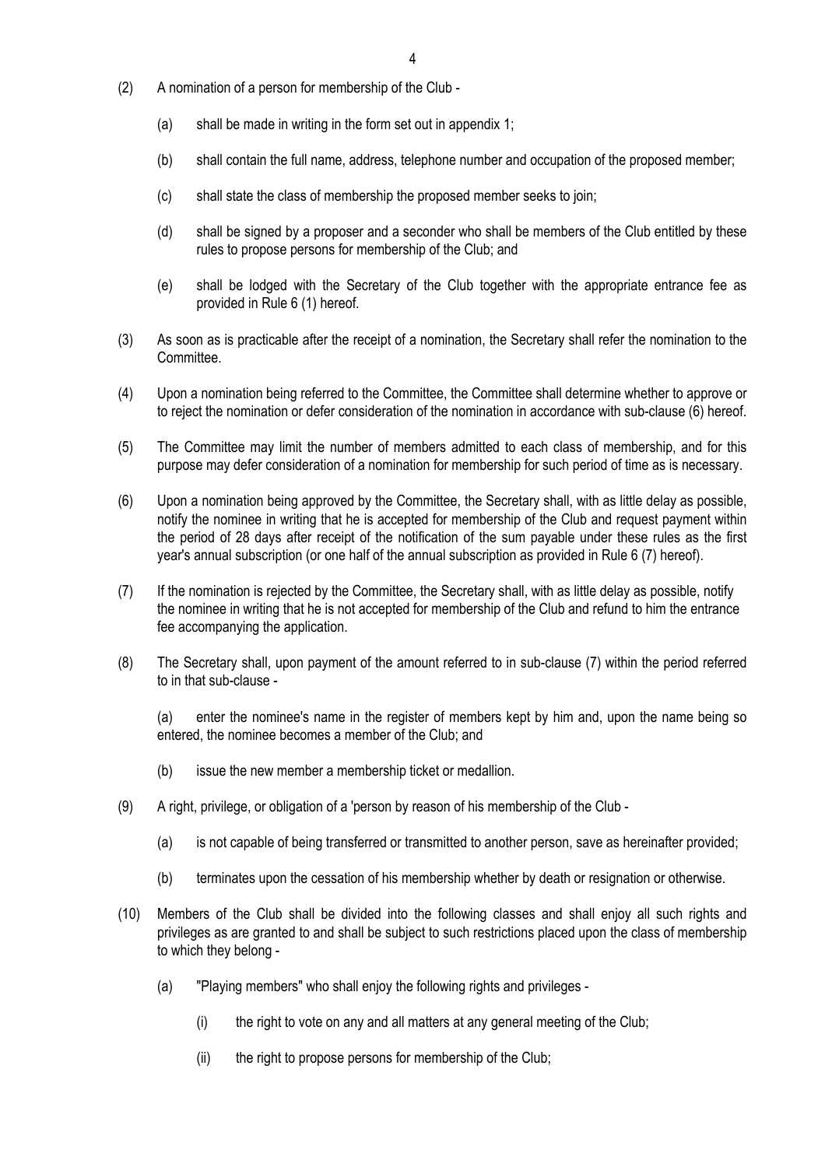- (2) A nomination of a person for membership of the Club
	- (a) shall be made in writing in the form set out in appendix 1;
	- (b) shall contain the full name, address, telephone number and occupation of the proposed member;
	- (c) shall state the class of membership the proposed member seeks to join;
	- (d) shall be signed by a proposer and a seconder who shall be members of the Club entitled by these rules to propose persons for membership of the Club; and
	- (e) shall be lodged with the Secretary of the Club together with the appropriate entrance fee as provided in Rule 6 (1) hereof.
- (3) As soon as is practicable after the receipt of a nomination, the Secretary shall refer the nomination to the Committee.
- (4) Upon a nomination being referred to the Committee, the Committee shall determine whether to approve or to reject the nomination or defer consideration of the nomination in accordance with sub-clause (6) hereof.
- (5) The Committee may limit the number of members admitted to each class of membership, and for this purpose may defer consideration of a nomination for membership for such period of time as is necessary.
- (6) Upon a nomination being approved by the Committee, the Secretary shall, with as little delay as possible, notify the nominee in writing that he is accepted for membership of the Club and request payment within the period of 28 days after receipt of the notification of the sum payable under these rules as the first year's annual subscription (or one half of the annual subscription as provided in Rule 6 (7) hereof).
- (7) If the nomination is rejected by the Committee, the Secretary shall, with as little delay as possible, notify the nominee in writing that he is not accepted for membership of the Club and refund to him the entrance fee accompanying the application.
- (8) The Secretary shall, upon payment of the amount referred to in sub-clause (7) within the period referred to in that sub-clause -

(a) enter the nominee's name in the register of members kept by him and, upon the name being so entered, the nominee becomes a member of the Club; and

- (b) issue the new member a membership ticket or medallion.
- (9) A right, privilege, or obligation of a 'person by reason of his membership of the Club
	- (a) is not capable of being transferred or transmitted to another person, save as hereinafter provided;
	- (b) terminates upon the cessation of his membership whether by death or resignation or otherwise.
- (10) Members of the Club shall be divided into the following classes and shall enjoy all such rights and privileges as are granted to and shall be subject to such restrictions placed upon the class of membership to which they belong -
	- (a) "Playing members" who shall enjoy the following rights and privileges
		- (i) the right to vote on any and all matters at any general meeting of the Club;
		- (ii) the right to propose persons for membership of the Club;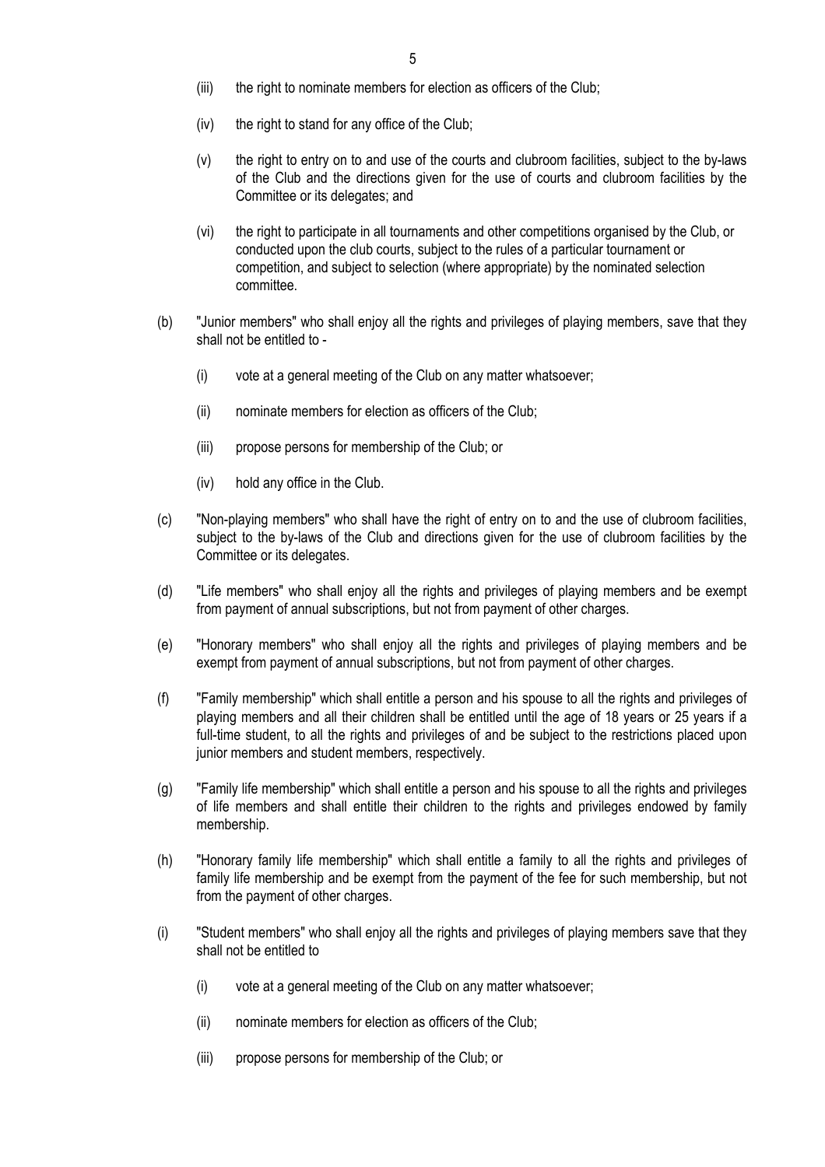- (iii) the right to nominate members for election as officers of the Club;
- $(iv)$  the right to stand for any office of the Club;
- (v) the right to entry on to and use of the courts and clubroom facilities, subject to the by-laws of the Club and the directions given for the use of courts and clubroom facilities by the Committee or its delegates; and
- (vi) the right to participate in all tournaments and other competitions organised by the Club, or conducted upon the club courts, subject to the rules of a particular tournament or competition, and subject to selection (where appropriate) by the nominated selection committee.
- (b) "Junior members" who shall enjoy all the rights and privileges of playing members, save that they shall not be entitled to -
	- (i) vote at a general meeting of the Club on any matter whatsoever;
	- (ii) nominate members for election as officers of the Club;
	- (iii) propose persons for membership of the Club; or
	- (iv) hold any office in the Club.
- (c) "Non-playing members" who shall have the right of entry on to and the use of clubroom facilities, subject to the by-laws of the Club and directions given for the use of clubroom facilities by the Committee or its delegates.
- (d) "Life members" who shall enjoy all the rights and privileges of playing members and be exempt from payment of annual subscriptions, but not from payment of other charges.
- (e) "Honorary members" who shall enjoy all the rights and privileges of playing members and be exempt from payment of annual subscriptions, but not from payment of other charges.
- (f) "Family membership" which shall entitle a person and his spouse to all the rights and privileges of playing members and all their children shall be entitled until the age of 18 years or 25 years if a full-time student, to all the rights and privileges of and be subject to the restrictions placed upon junior members and student members, respectively.
- (g) "Family life membership" which shall entitle a person and his spouse to all the rights and privileges of life members and shall entitle their children to the rights and privileges endowed by family membership.
- (h) "Honorary family life membership" which shall entitle a family to all the rights and privileges of family life membership and be exempt from the payment of the fee for such membership, but not from the payment of other charges.
- (i) "Student members" who shall enjoy all the rights and privileges of playing members save that they shall not be entitled to
	- (i) vote at a general meeting of the Club on any matter whatsoever;
	- (ii) nominate members for election as officers of the Club;
	- (iii) propose persons for membership of the Club; or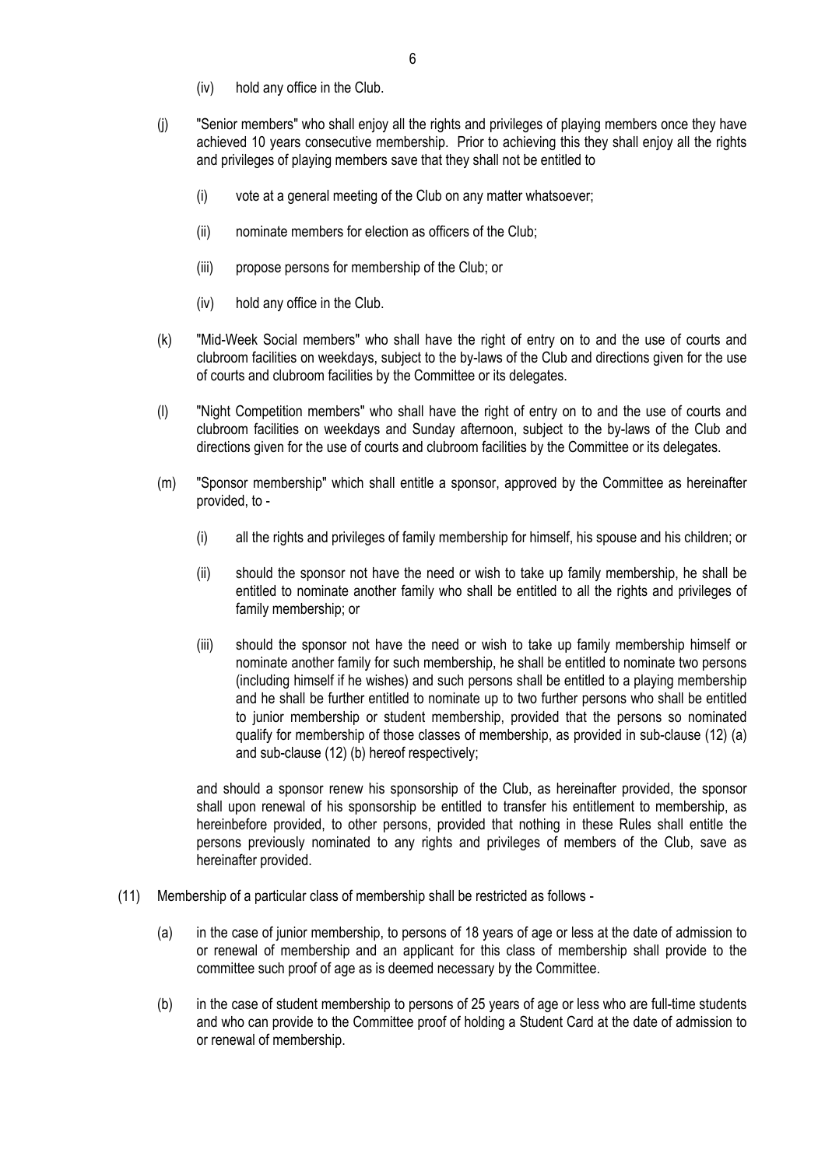- (iv) hold any office in the Club.
- (j) "Senior members" who shall enjoy all the rights and privileges of playing members once they have achieved 10 years consecutive membership. Prior to achieving this they shall enjoy all the rights and privileges of playing members save that they shall not be entitled to
	- (i) vote at a general meeting of the Club on any matter whatsoever;
	- (ii) nominate members for election as officers of the Club;
	- (iii) propose persons for membership of the Club; or
	- (iv) hold any office in the Club.
- (k) "Mid-Week Social members" who shall have the right of entry on to and the use of courts and clubroom facilities on weekdays, subject to the by-laws of the Club and directions given for the use of courts and clubroom facilities by the Committee or its delegates.
- (l) "Night Competition members" who shall have the right of entry on to and the use of courts and clubroom facilities on weekdays and Sunday afternoon, subject to the by-laws of the Club and directions given for the use of courts and clubroom facilities by the Committee or its delegates.
- (m) "Sponsor membership" which shall entitle a sponsor, approved by the Committee as hereinafter provided, to -
	- (i) all the rights and privileges of family membership for himself, his spouse and his children; or
	- (ii) should the sponsor not have the need or wish to take up family membership, he shall be entitled to nominate another family who shall be entitled to all the rights and privileges of family membership; or
	- (iii) should the sponsor not have the need or wish to take up family membership himself or nominate another family for such membership, he shall be entitled to nominate two persons (including himself if he wishes) and such persons shall be entitled to a playing membership and he shall be further entitled to nominate up to two further persons who shall be entitled to junior membership or student membership, provided that the persons so nominated qualify for membership of those classes of membership, as provided in sub-clause (12) (a) and sub-clause (12) (b) hereof respectively;

and should a sponsor renew his sponsorship of the Club, as hereinafter provided, the sponsor shall upon renewal of his sponsorship be entitled to transfer his entitlement to membership, as hereinbefore provided, to other persons, provided that nothing in these Rules shall entitle the persons previously nominated to any rights and privileges of members of the Club, save as hereinafter provided.

- (11) Membership of a particular class of membership shall be restricted as follows
	- (a) in the case of junior membership, to persons of 18 years of age or less at the date of admission to or renewal of membership and an applicant for this class of membership shall provide to the committee such proof of age as is deemed necessary by the Committee.
	- (b) in the case of student membership to persons of 25 years of age or less who are full-time students and who can provide to the Committee proof of holding a Student Card at the date of admission to or renewal of membership.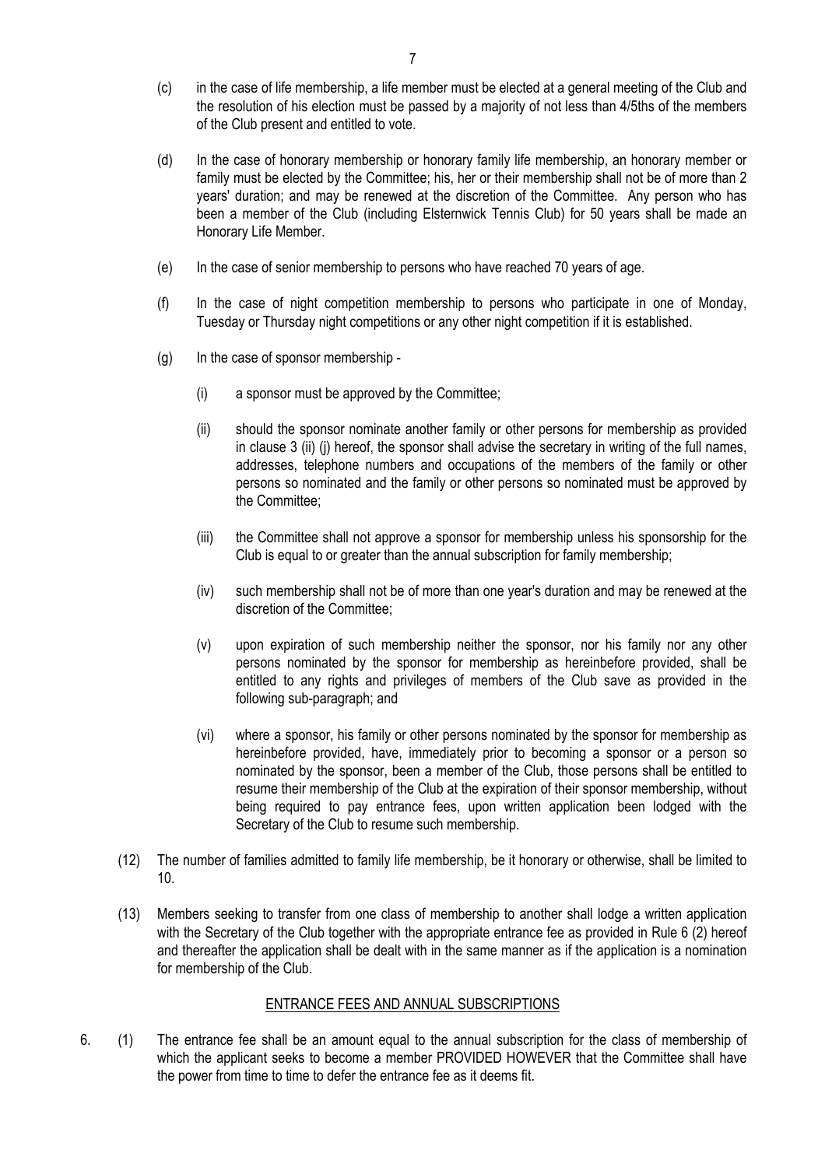- (c) in the case of life membership, a life member must be elected at a general meeting of the Club and the resolution of his election must be passed by a majority of not less than 4/5ths of the members of the Club present and entitled to vote.
- (d) In the case of honorary membership or honorary family life membership, an honorary member or family must be elected by the Committee; his, her or their membership shall not be of more than 2 years' duration; and may be renewed at the discretion of the Committee. Any person who has been a member of the Club (including Elsternwick Tennis Club) for 50 years shall be made an Honorary Life Member.
- (e) In the case of senior membership to persons who have reached 70 years of age.
- (f) In the case of night competition membership to persons who participate in one of Monday, Tuesday or Thursday night competitions or any other night competition if it is established.
- (g) In the case of sponsor membership
	- (i) a sponsor must be approved by the Committee;
	- (ii) should the sponsor nominate another family or other persons for membership as provided in clause 3 (ii) (j) hereof, the sponsor shall advise the secretary in writing of the full names, addresses, telephone numbers and occupations of the members of the family or other persons so nominated and the family or other persons so nominated must be approved by the Committee;
	- (iii) the Committee shall not approve a sponsor for membership unless his sponsorship for the Club is equal to or greater than the annual subscription for family membership;
	- (iv) such membership shall not be of more than one year's duration and may be renewed at the discretion of the Committee;
	- (v) upon expiration of such membership neither the sponsor, nor his family nor any other persons nominated by the sponsor for membership as hereinbefore provided, shall be entitled to any rights and privileges of members of the Club save as provided in the following sub-paragraph; and
	- (vi) where a sponsor, his family or other persons nominated by the sponsor for membership as hereinbefore provided, have, immediately prior to becoming a sponsor or a person so nominated by the sponsor, been a member of the Club, those persons shall be entitled to resume their membership of the Club at the expiration of their sponsor membership, without being required to pay entrance fees, upon written application been lodged with the Secretary of the Club to resume such membership.
- (12) The number of families admitted to family life membership, be it honorary or otherwise, shall be limited to 10.
- (13) Members seeking to transfer from one class of membership to another shall lodge a written application with the Secretary of the Club together with the appropriate entrance fee as provided in Rule 6 (2) hereof and thereafter the application shall be dealt with in the same manner as if the application is a nomination for membership of the Club.

#### ENTRANCE FEES AND ANNUAL SUBSCRIPTIONS

6. (1) The entrance fee shall be an amount equal to the annual subscription for the class of membership of which the applicant seeks to become a member PROVIDED HOWEVER that the Committee shall have the power from time to time to defer the entrance fee as it deems fit.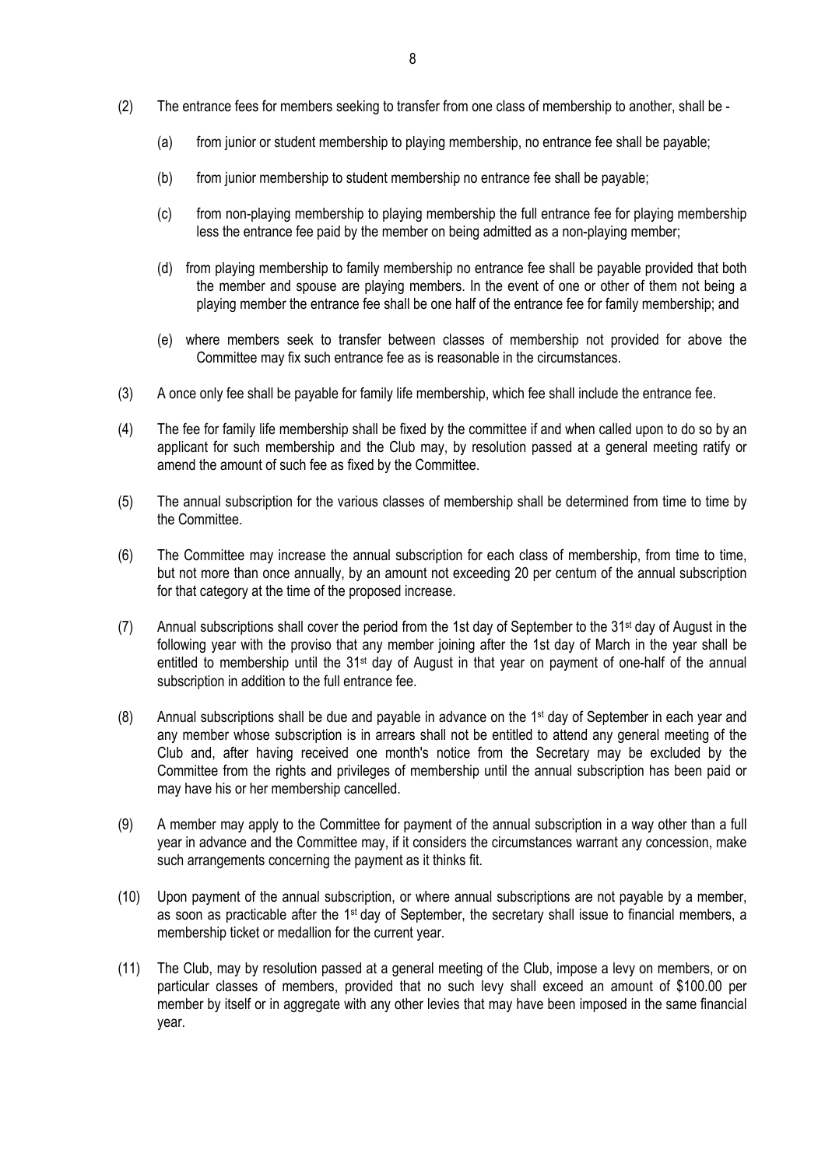- (2) The entrance fees for members seeking to transfer from one class of membership to another, shall be
	- (a) from junior or student membership to playing membership, no entrance fee shall be payable;
	- (b) from junior membership to student membership no entrance fee shall be payable;
	- (c) from non-playing membership to playing membership the full entrance fee for playing membership less the entrance fee paid by the member on being admitted as a non-playing member;
	- (d) from playing membership to family membership no entrance fee shall be payable provided that both the member and spouse are playing members. In the event of one or other of them not being a playing member the entrance fee shall be one half of the entrance fee for family membership; and
	- (e) where members seek to transfer between classes of membership not provided for above the Committee may fix such entrance fee as is reasonable in the circumstances.
- (3) A once only fee shall be payable for family life membership, which fee shall include the entrance fee.
- (4) The fee for family life membership shall be fixed by the committee if and when called upon to do so by an applicant for such membership and the Club may, by resolution passed at a general meeting ratify or amend the amount of such fee as fixed by the Committee.
- (5) The annual subscription for the various classes of membership shall be determined from time to time by the Committee.
- (6) The Committee may increase the annual subscription for each class of membership, from time to time, but not more than once annually, by an amount not exceeding 20 per centum of the annual subscription for that category at the time of the proposed increase.
- (7) Annual subscriptions shall cover the period from the 1st day of September to the 31st day of August in the following year with the proviso that any member joining after the 1st day of March in the year shall be entitled to membership until the 31<sup>st</sup> day of August in that year on payment of one-half of the annual subscription in addition to the full entrance fee.
- (8) Annual subscriptions shall be due and payable in advance on the 1st day of September in each year and any member whose subscription is in arrears shall not be entitled to attend any general meeting of the Club and, after having received one month's notice from the Secretary may be excluded by the Committee from the rights and privileges of membership until the annual subscription has been paid or may have his or her membership cancelled.
- (9) A member may apply to the Committee for payment of the annual subscription in a way other than a full year in advance and the Committee may, if it considers the circumstances warrant any concession, make such arrangements concerning the payment as it thinks fit.
- (10) Upon payment of the annual subscription, or where annual subscriptions are not payable by a member, as soon as practicable after the 1<sup>st</sup> day of September, the secretary shall issue to financial members, a membership ticket or medallion for the current year.
- (11) The Club, may by resolution passed at a general meeting of the Club, impose a levy on members, or on particular classes of members, provided that no such levy shall exceed an amount of \$100.00 per member by itself or in aggregate with any other levies that may have been imposed in the same financial year.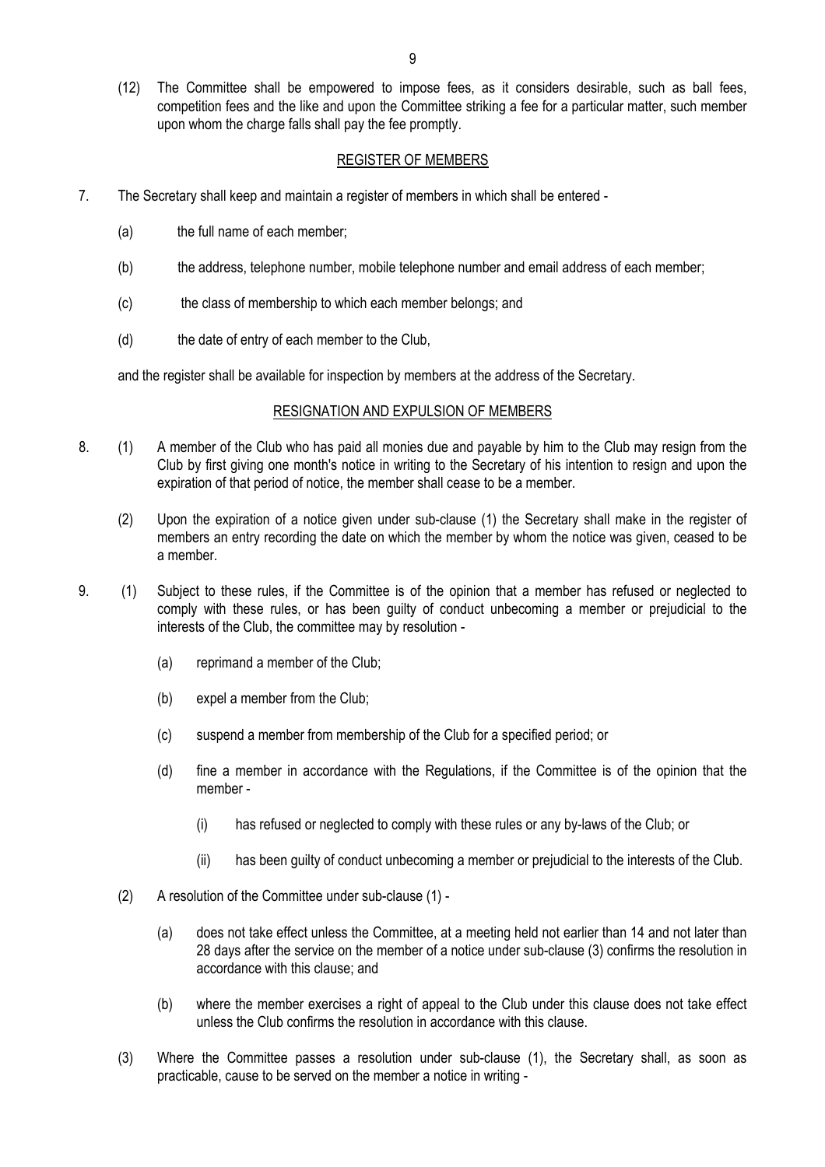(12) The Committee shall be empowered to impose fees, as it considers desirable, such as ball fees, competition fees and the like and upon the Committee striking a fee for a particular matter, such member upon whom the charge falls shall pay the fee promptly.

## REGISTER OF MEMBERS

- 7. The Secretary shall keep and maintain a register of members in which shall be entered
	- (a) the full name of each member;
	- (b) the address, telephone number, mobile telephone number and email address of each member;
	- (c) the class of membership to which each member belongs; and
	- (d) the date of entry of each member to the Club,

and the register shall be available for inspection by members at the address of the Secretary.

#### RESIGNATION AND EXPULSION OF MEMBERS

- 8. (1) A member of the Club who has paid all monies due and payable by him to the Club may resign from the Club by first giving one month's notice in writing to the Secretary of his intention to resign and upon the expiration of that period of notice, the member shall cease to be a member.
	- (2) Upon the expiration of a notice given under sub-clause (1) the Secretary shall make in the register of members an entry recording the date on which the member by whom the notice was given, ceased to be a member.
- 9. (1) Subject to these rules, if the Committee is of the opinion that a member has refused or neglected to comply with these rules, or has been guilty of conduct unbecoming a member or prejudicial to the interests of the Club, the committee may by resolution -
	- (a) reprimand a member of the Club;
	- (b) expel a member from the Club;
	- (c) suspend a member from membership of the Club for a specified period; or
	- (d) fine a member in accordance with the Regulations, if the Committee is of the opinion that the member -
		- (i) has refused or neglected to comply with these rules or any by-laws of the Club; or
		- (ii) has been guilty of conduct unbecoming a member or prejudicial to the interests of the Club.
	- (2) A resolution of the Committee under sub-clause (1)
		- (a) does not take effect unless the Committee, at a meeting held not earlier than 14 and not later than 28 days after the service on the member of a notice under sub-clause (3) confirms the resolution in accordance with this clause; and
		- (b) where the member exercises a right of appeal to the Club under this clause does not take effect unless the Club confirms the resolution in accordance with this clause.
	- (3) Where the Committee passes a resolution under sub-clause (1), the Secretary shall, as soon as practicable, cause to be served on the member a notice in writing -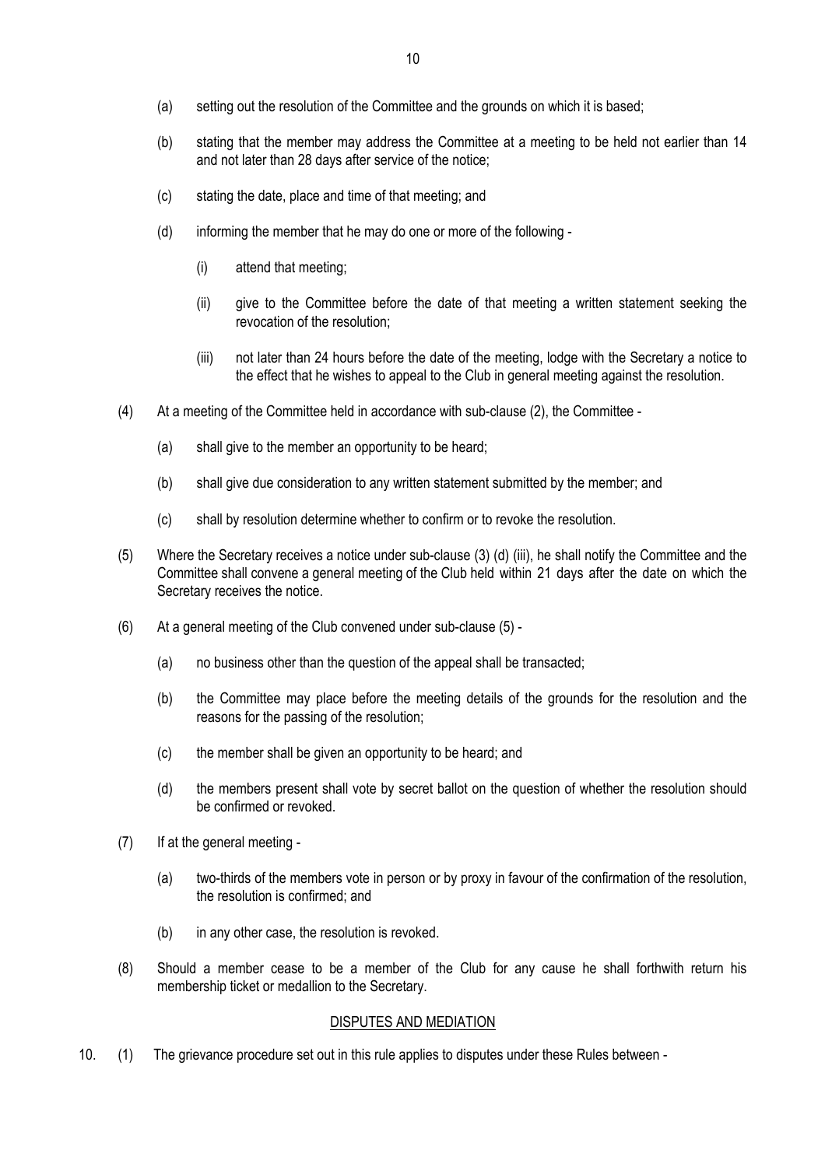- (a) setting out the resolution of the Committee and the grounds on which it is based;
- (b) stating that the member may address the Committee at a meeting to be held not earlier than 14 and not later than 28 days after service of the notice;
- (c) stating the date, place and time of that meeting; and
- (d) informing the member that he may do one or more of the following
	- (i) attend that meeting;
	- (ii) give to the Committee before the date of that meeting a written statement seeking the revocation of the resolution;
	- (iii) not later than 24 hours before the date of the meeting, lodge with the Secretary a notice to the effect that he wishes to appeal to the Club in general meeting against the resolution.
- (4) At a meeting of the Committee held in accordance with sub-clause (2), the Committee
	- (a) shall give to the member an opportunity to be heard;
	- (b) shall give due consideration to any written statement submitted by the member; and
	- (c) shall by resolution determine whether to confirm or to revoke the resolution.
- (5) Where the Secretary receives a notice under sub-clause (3) (d) (iii), he shall notify the Committee and the Committee shall convene a general meeting of the Club held within 21 days after the date on which the Secretary receives the notice.
- (6) At a general meeting of the Club convened under sub-clause (5)
	- (a) no business other than the question of the appeal shall be transacted;
	- (b) the Committee may place before the meeting details of the grounds for the resolution and the reasons for the passing of the resolution;
	- (c) the member shall be given an opportunity to be heard; and
	- (d) the members present shall vote by secret ballot on the question of whether the resolution should be confirmed or revoked.
- (7) If at the general meeting
	- (a) two-thirds of the members vote in person or by proxy in favour of the confirmation of the resolution, the resolution is confirmed; and
	- (b) in any other case, the resolution is revoked.
- (8) Should a member cease to be a member of the Club for any cause he shall forthwith return his membership ticket or medallion to the Secretary.

#### DISPUTES AND MEDIATION

10. (1) The grievance procedure set out in this rule applies to disputes under these Rules between -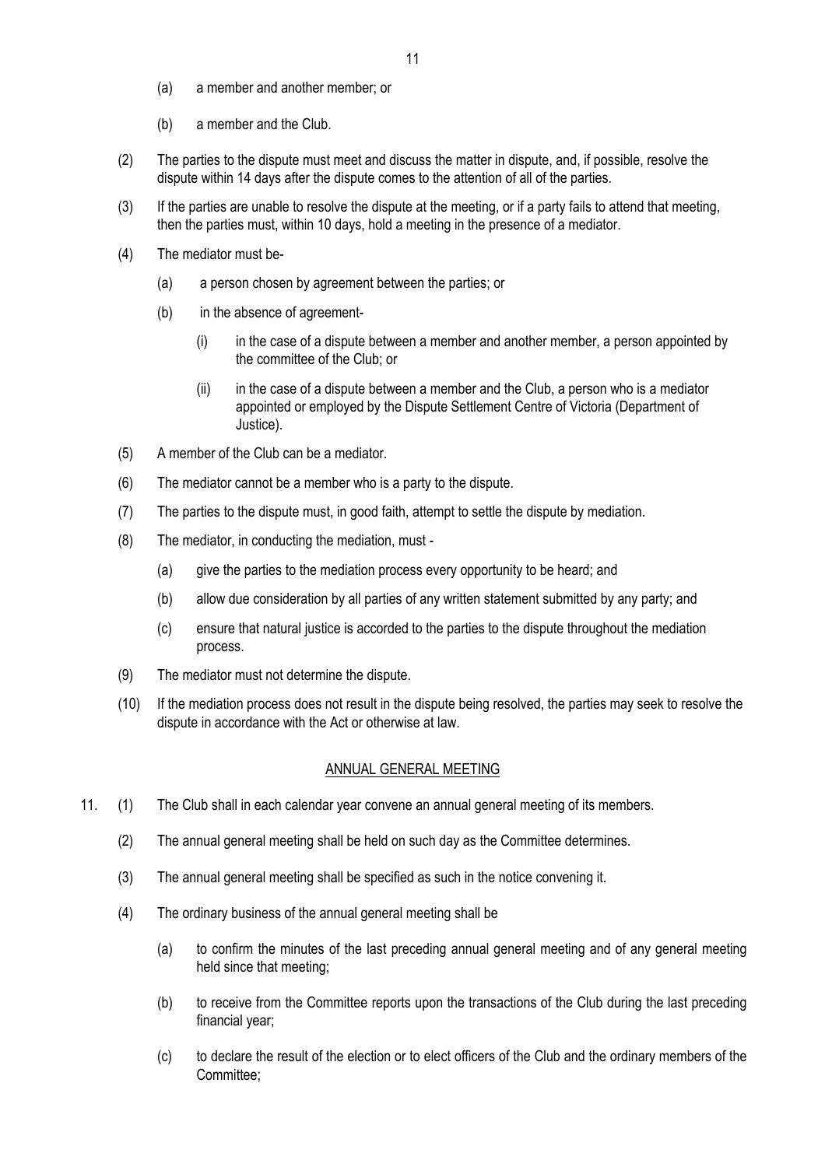- (a) a member and another member; or
- (b) a member and the Club.
- (2) The parties to the dispute must meet and discuss the matter in dispute, and, if possible, resolve the dispute within 14 days after the dispute comes to the attention of all of the parties.
- (3) If the parties are unable to resolve the dispute at the meeting, or if a party fails to attend that meeting, then the parties must, within 10 days, hold a meeting in the presence of a mediator.
- (4) The mediator must be-
	- (a) a person chosen by agreement between the parties; or
	- (b) in the absence of agreement-
		- (i) in the case of a dispute between a member and another member, a person appointed by the committee of the Club; or
		- (ii) in the case of a dispute between a member and the Club, a person who is a mediator appointed or employed by the Dispute Settlement Centre of Victoria (Department of Justice).
- (5) A member of the Club can be a mediator.
- (6) The mediator cannot be a member who is a party to the dispute.
- (7) The parties to the dispute must, in good faith, attempt to settle the dispute by mediation.
- (8) The mediator, in conducting the mediation, must
	- (a) give the parties to the mediation process every opportunity to be heard; and
	- (b) allow due consideration by all parties of any written statement submitted by any party; and
	- (c) ensure that natural justice is accorded to the parties to the dispute throughout the mediation process.
- (9) The mediator must not determine the dispute.
- (10) If the mediation process does not result in the dispute being resolved, the parties may seek to resolve the dispute in accordance with the Act or otherwise at law.

#### ANNUAL GENERAL MEETING

- 11. (1) The Club shall in each calendar year convene an annual general meeting of its members.
	- (2) The annual general meeting shall be held on such day as the Committee determines.
	- (3) The annual general meeting shall be specified as such in the notice convening it.
	- (4) The ordinary business of the annual general meeting shall be
		- (a) to confirm the minutes of the last preceding annual general meeting and of any general meeting held since that meeting;
		- (b) to receive from the Committee reports upon the transactions of the Club during the last preceding financial year;
		- (c) to declare the result of the election or to elect officers of the Club and the ordinary members of the Committee;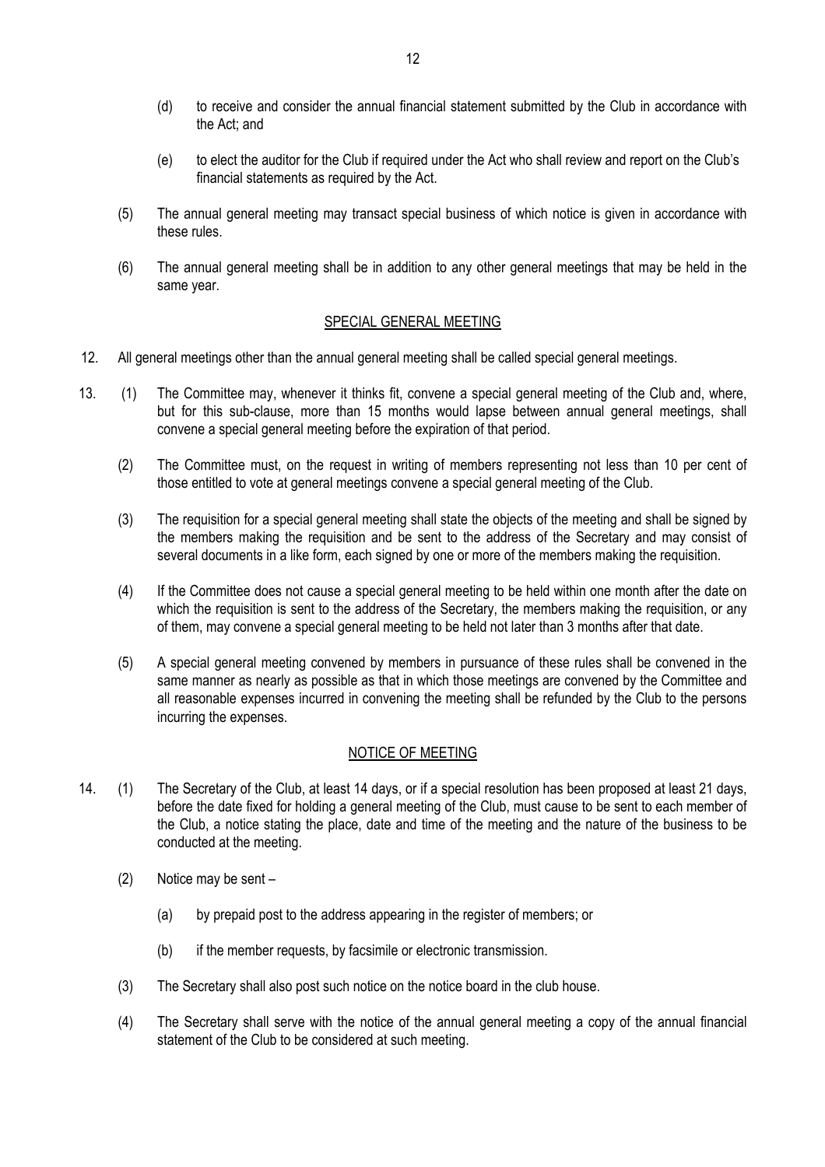- (d) to receive and consider the annual financial statement submitted by the Club in accordance with the Act; and
- (e) to elect the auditor for the Club if required under the Act who shall review and report on the Club's financial statements as required by the Act.
- (5) The annual general meeting may transact special business of which notice is given in accordance with these rules.
- (6) The annual general meeting shall be in addition to any other general meetings that may be held in the same year.

### SPECIAL GENERAL MEETING

- 12. All general meetings other than the annual general meeting shall be called special general meetings.
- 13. (1) The Committee may, whenever it thinks fit, convene a special general meeting of the Club and, where, but for this sub-clause, more than 15 months would lapse between annual general meetings, shall convene a special general meeting before the expiration of that period.
	- (2) The Committee must, on the request in writing of members representing not less than 10 per cent of those entitled to vote at general meetings convene a special general meeting of the Club.
	- (3) The requisition for a special general meeting shall state the objects of the meeting and shall be signed by the members making the requisition and be sent to the address of the Secretary and may consist of several documents in a like form, each signed by one or more of the members making the requisition.
	- (4) If the Committee does not cause a special general meeting to be held within one month after the date on which the requisition is sent to the address of the Secretary, the members making the requisition, or any of them, may convene a special general meeting to be held not later than 3 months after that date.
	- (5) A special general meeting convened by members in pursuance of these rules shall be convened in the same manner as nearly as possible as that in which those meetings are convened by the Committee and all reasonable expenses incurred in convening the meeting shall be refunded by the Club to the persons incurring the expenses.

## NOTICE OF MEETING

- 14. (1) The Secretary of the Club, at least 14 days, or if a special resolution has been proposed at least 21 days, before the date fixed for holding a general meeting of the Club, must cause to be sent to each member of the Club, a notice stating the place, date and time of the meeting and the nature of the business to be conducted at the meeting.
	- (2) Notice may be sent
		- (a) by prepaid post to the address appearing in the register of members; or
		- (b) if the member requests, by facsimile or electronic transmission.
	- (3) The Secretary shall also post such notice on the notice board in the club house.
	- (4) The Secretary shall serve with the notice of the annual general meeting a copy of the annual financial statement of the Club to be considered at such meeting.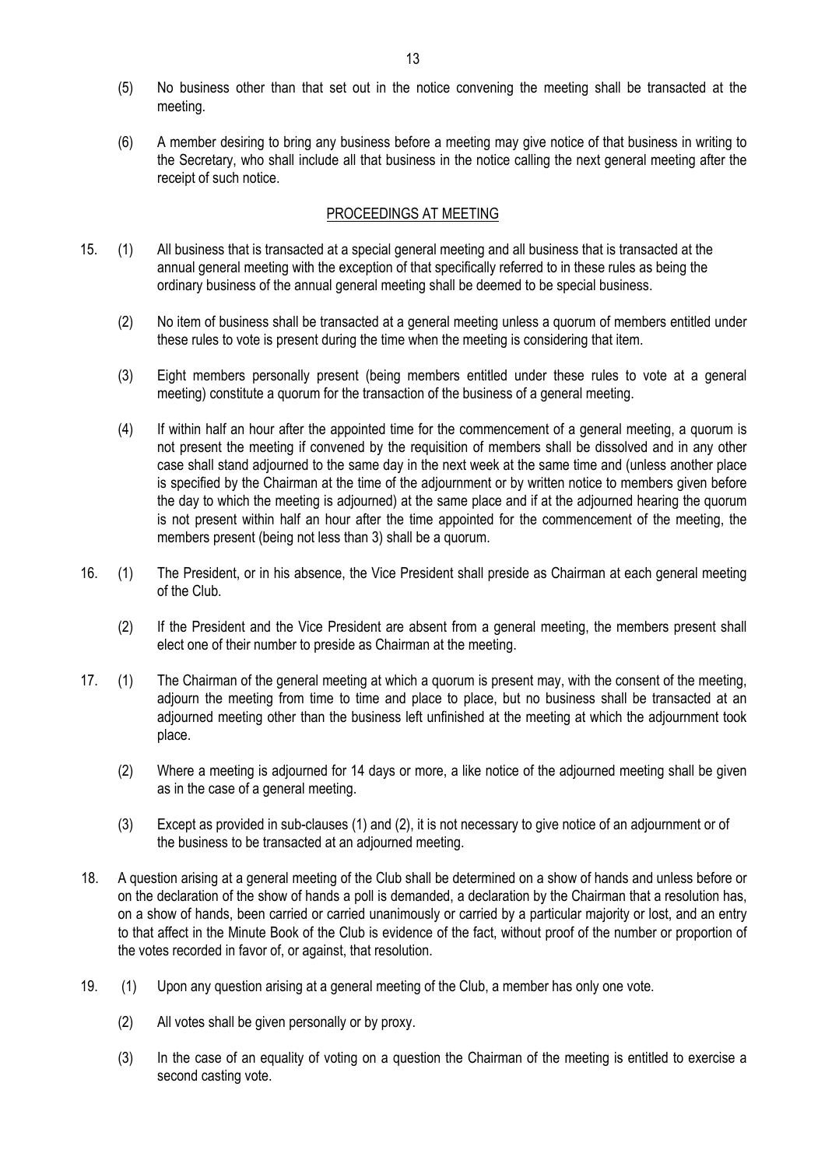- 13
- (5) No business other than that set out in the notice convening the meeting shall be transacted at the meeting.
- (6) A member desiring to bring any business before a meeting may give notice of that business in writing to the Secretary, who shall include all that business in the notice calling the next general meeting after the receipt of such notice.

### PROCEEDINGS AT MEETING

- 15. (1) All business that is transacted at a special general meeting and all business that is transacted at the annual general meeting with the exception of that specifically referred to in these rules as being the ordinary business of the annual general meeting shall be deemed to be special business.
	- (2) No item of business shall be transacted at a general meeting unless a quorum of members entitled under these rules to vote is present during the time when the meeting is considering that item.
	- (3) Eight members personally present (being members entitled under these rules to vote at a general meeting) constitute a quorum for the transaction of the business of a general meeting.
	- (4) If within half an hour after the appointed time for the commencement of a general meeting, a quorum is not present the meeting if convened by the requisition of members shall be dissolved and in any other case shall stand adjourned to the same day in the next week at the same time and (unless another place is specified by the Chairman at the time of the adjournment or by written notice to members given before the day to which the meeting is adjourned) at the same place and if at the adjourned hearing the quorum is not present within half an hour after the time appointed for the commencement of the meeting, the members present (being not less than 3) shall be a quorum.
- 16. (1) The President, or in his absence, the Vice President shall preside as Chairman at each general meeting of the Club.
	- (2) If the President and the Vice President are absent from a general meeting, the members present shall elect one of their number to preside as Chairman at the meeting.
- 17. (1) The Chairman of the general meeting at which a quorum is present may, with the consent of the meeting, adjourn the meeting from time to time and place to place, but no business shall be transacted at an adjourned meeting other than the business left unfinished at the meeting at which the adjournment took place.
	- (2) Where a meeting is adjourned for 14 days or more, a like notice of the adjourned meeting shall be given as in the case of a general meeting.
	- (3) Except as provided in sub-clauses (1) and (2), it is not necessary to give notice of an adjournment or of the business to be transacted at an adjourned meeting.
- 18. A question arising at a general meeting of the Club shall be determined on a show of hands and unless before or on the declaration of the show of hands a poll is demanded, a declaration by the Chairman that a resolution has, on a show of hands, been carried or carried unanimously or carried by a particular majority or lost, and an entry to that affect in the Minute Book of the Club is evidence of the fact, without proof of the number or proportion of the votes recorded in favor of, or against, that resolution.
- 19. (1) Upon any question arising at a general meeting of the Club, a member has only one vote.
	- (2) All votes shall be given personally or by proxy.
	- (3) In the case of an equality of voting on a question the Chairman of the meeting is entitled to exercise a second casting vote.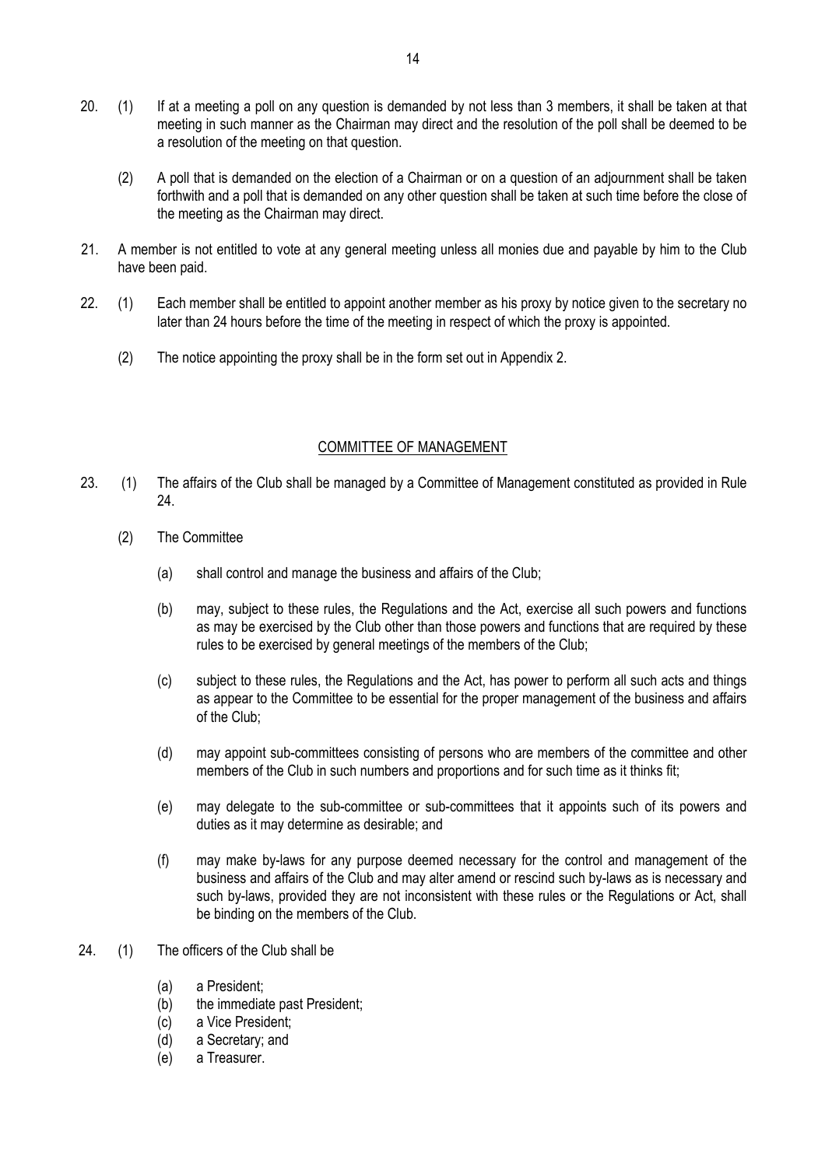- 20. (1) If at a meeting a poll on any question is demanded by not less than 3 members, it shall be taken at that meeting in such manner as the Chairman may direct and the resolution of the poll shall be deemed to be a resolution of the meeting on that question.
	- (2) A poll that is demanded on the election of a Chairman or on a question of an adjournment shall be taken forthwith and a poll that is demanded on any other question shall be taken at such time before the close of the meeting as the Chairman may direct.
- 21. A member is not entitled to vote at any general meeting unless all monies due and payable by him to the Club have been paid.
- 22. (1) Each member shall be entitled to appoint another member as his proxy by notice given to the secretary no later than 24 hours before the time of the meeting in respect of which the proxy is appointed.
	- (2) The notice appointing the proxy shall be in the form set out in Appendix 2.

### COMMITTEE OF MANAGEMENT

- 23. (1) The affairs of the Club shall be managed by a Committee of Management constituted as provided in Rule 24.
	- (2) The Committee
		- (a) shall control and manage the business and affairs of the Club;
		- (b) may, subject to these rules, the Regulations and the Act, exercise all such powers and functions as may be exercised by the Club other than those powers and functions that are required by these rules to be exercised by general meetings of the members of the Club;
		- (c) subject to these rules, the Regulations and the Act, has power to perform all such acts and things as appear to the Committee to be essential for the proper management of the business and affairs of the Club;
		- (d) may appoint sub-committees consisting of persons who are members of the committee and other members of the Club in such numbers and proportions and for such time as it thinks fit;
		- (e) may delegate to the sub-committee or sub-committees that it appoints such of its powers and duties as it may determine as desirable; and
		- (f) may make by-laws for any purpose deemed necessary for the control and management of the business and affairs of the Club and may alter amend or rescind such by-laws as is necessary and such by-laws, provided they are not inconsistent with these rules or the Regulations or Act, shall be binding on the members of the Club.
- 24. (1) The officers of the Club shall be
	- (a) a President;
	- (b) the immediate past President;
	- (c) a Vice President;
	- (d) a Secretary; and
	- (e) a Treasurer.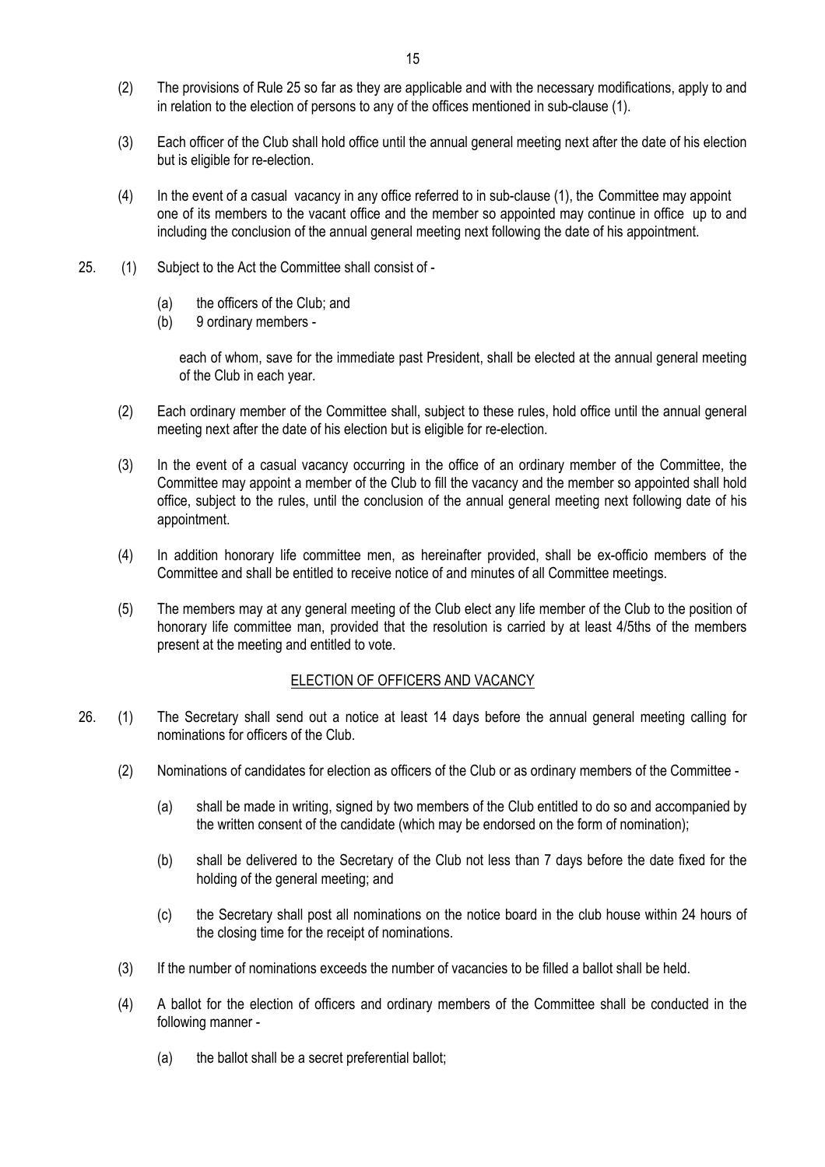- (2) The provisions of Rule 25 so far as they are applicable and with the necessary modifications, apply to and in relation to the election of persons to any of the offices mentioned in sub-clause (1).
- (3) Each officer of the Club shall hold office until the annual general meeting next after the date of his election but is eligible for re-election.
- (4) In the event of a casual vacancy in any office referred to in sub-clause (1), the Committee may appoint one of its members to the vacant office and the member so appointed may continue in office up to and including the conclusion of the annual general meeting next following the date of his appointment.
- 25. (1) Subject to the Act the Committee shall consist of
	- (a) the officers of the Club; and
	- (b) 9 ordinary members -

each of whom, save for the immediate past President, shall be elected at the annual general meeting of the Club in each year.

- (2) Each ordinary member of the Committee shall, subject to these rules, hold office until the annual general meeting next after the date of his election but is eligible for re-election.
- (3) In the event of a casual vacancy occurring in the office of an ordinary member of the Committee, the Committee may appoint a member of the Club to fill the vacancy and the member so appointed shall hold office, subject to the rules, until the conclusion of the annual general meeting next following date of his appointment.
- (4) In addition honorary life committee men, as hereinafter provided, shall be ex-officio members of the Committee and shall be entitled to receive notice of and minutes of all Committee meetings.
- (5) The members may at any general meeting of the Club elect any life member of the Club to the position of honorary life committee man, provided that the resolution is carried by at least 4/5ths of the members present at the meeting and entitled to vote.

#### ELECTION OF OFFICERS AND VACANCY

- 26. (1) The Secretary shall send out a notice at least 14 days before the annual general meeting calling for nominations for officers of the Club.
	- (2) Nominations of candidates for election as officers of the Club or as ordinary members of the Committee
		- (a) shall be made in writing, signed by two members of the Club entitled to do so and accompanied by the written consent of the candidate (which may be endorsed on the form of nomination);
		- (b) shall be delivered to the Secretary of the Club not less than 7 days before the date fixed for the holding of the general meeting; and
		- (c) the Secretary shall post all nominations on the notice board in the club house within 24 hours of the closing time for the receipt of nominations.
	- (3) If the number of nominations exceeds the number of vacancies to be filled a ballot shall be held.
	- (4) A ballot for the election of officers and ordinary members of the Committee shall be conducted in the following manner -
		- (a) the ballot shall be a secret preferential ballot;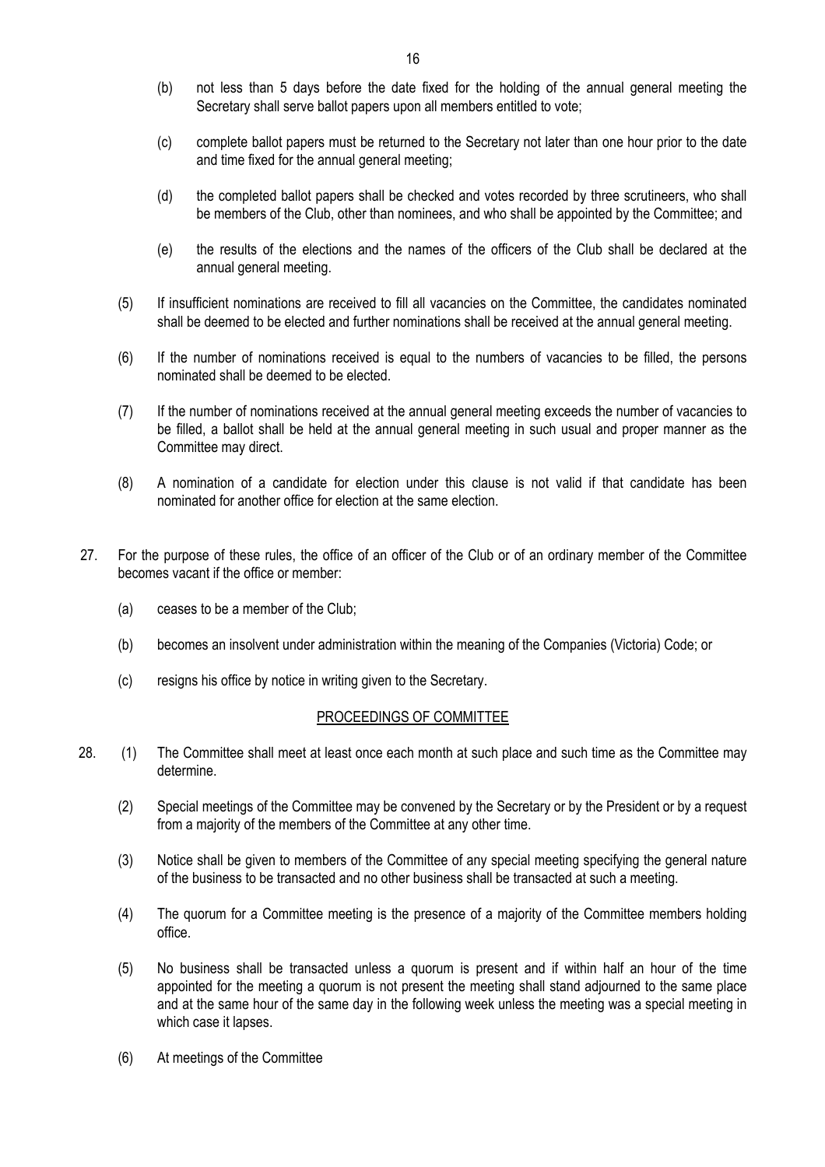- (b) not less than 5 days before the date fixed for the holding of the annual general meeting the Secretary shall serve ballot papers upon all members entitled to vote;
- (c) complete ballot papers must be returned to the Secretary not later than one hour prior to the date and time fixed for the annual general meeting;
- (d) the completed ballot papers shall be checked and votes recorded by three scrutineers, who shall be members of the Club, other than nominees, and who shall be appointed by the Committee; and
- (e) the results of the elections and the names of the officers of the Club shall be declared at the annual general meeting.
- (5) If insufficient nominations are received to fill all vacancies on the Committee, the candidates nominated shall be deemed to be elected and further nominations shall be received at the annual general meeting.
- (6) If the number of nominations received is equal to the numbers of vacancies to be filled, the persons nominated shall be deemed to be elected.
- (7) If the number of nominations received at the annual general meeting exceeds the number of vacancies to be filled, a ballot shall be held at the annual general meeting in such usual and proper manner as the Committee may direct.
- (8) A nomination of a candidate for election under this clause is not valid if that candidate has been nominated for another office for election at the same election.
- 27. For the purpose of these rules, the office of an officer of the Club or of an ordinary member of the Committee becomes vacant if the office or member:
	- (a) ceases to be a member of the Club;
	- (b) becomes an insolvent under administration within the meaning of the Companies (Victoria) Code; or
	- (c) resigns his office by notice in writing given to the Secretary.

#### PROCEEDINGS OF COMMITTEE

- 28. (1) The Committee shall meet at least once each month at such place and such time as the Committee may determine.
	- (2) Special meetings of the Committee may be convened by the Secretary or by the President or by a request from a majority of the members of the Committee at any other time.
	- (3) Notice shall be given to members of the Committee of any special meeting specifying the general nature of the business to be transacted and no other business shall be transacted at such a meeting.
	- (4) The quorum for a Committee meeting is the presence of a majority of the Committee members holding office.
	- (5) No business shall be transacted unless a quorum is present and if within half an hour of the time appointed for the meeting a quorum is not present the meeting shall stand adjourned to the same place and at the same hour of the same day in the following week unless the meeting was a special meeting in which case it lapses.
	- (6) At meetings of the Committee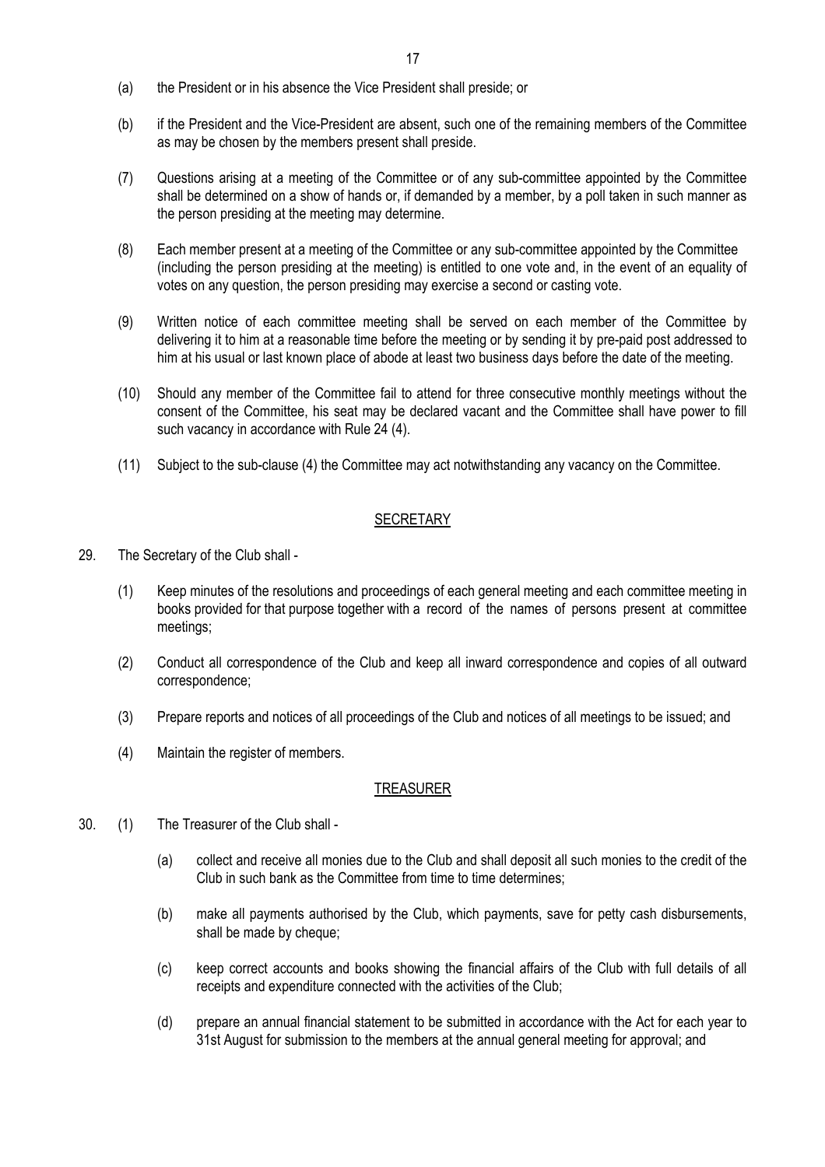- (a) the President or in his absence the Vice President shall preside; or
- (b) if the President and the Vice-President are absent, such one of the remaining members of the Committee as may be chosen by the members present shall preside.
- (7) Questions arising at a meeting of the Committee or of any sub-committee appointed by the Committee shall be determined on a show of hands or, if demanded by a member, by a poll taken in such manner as the person presiding at the meeting may determine.
- (8) Each member present at a meeting of the Committee or any sub-committee appointed by the Committee (including the person presiding at the meeting) is entitled to one vote and, in the event of an equality of votes on any question, the person presiding may exercise a second or casting vote.
- (9) Written notice of each committee meeting shall be served on each member of the Committee by delivering it to him at a reasonable time before the meeting or by sending it by pre-paid post addressed to him at his usual or last known place of abode at least two business days before the date of the meeting.
- (10) Should any member of the Committee fail to attend for three consecutive monthly meetings without the consent of the Committee, his seat may be declared vacant and the Committee shall have power to fill such vacancy in accordance with Rule 24 (4).
- (11) Subject to the sub-clause (4) the Committee may act notwithstanding any vacancy on the Committee.

#### **SECRETARY**

- 29. The Secretary of the Club shall
	- (1) Keep minutes of the resolutions and proceedings of each general meeting and each committee meeting in books provided for that purpose together with a record of the names of persons present at committee meetings;
	- (2) Conduct all correspondence of the Club and keep all inward correspondence and copies of all outward correspondence;
	- (3) Prepare reports and notices of all proceedings of the Club and notices of all meetings to be issued; and
	- (4) Maintain the register of members.

#### TREASURER

- 30. (1) The Treasurer of the Club shall
	- (a) collect and receive all monies due to the Club and shall deposit all such monies to the credit of the Club in such bank as the Committee from time to time determines;
	- (b) make all payments authorised by the Club, which payments, save for petty cash disbursements, shall be made by cheque;
	- (c) keep correct accounts and books showing the financial affairs of the Club with full details of all receipts and expenditure connected with the activities of the Club;
	- (d) prepare an annual financial statement to be submitted in accordance with the Act for each year to 31st August for submission to the members at the annual general meeting for approval; and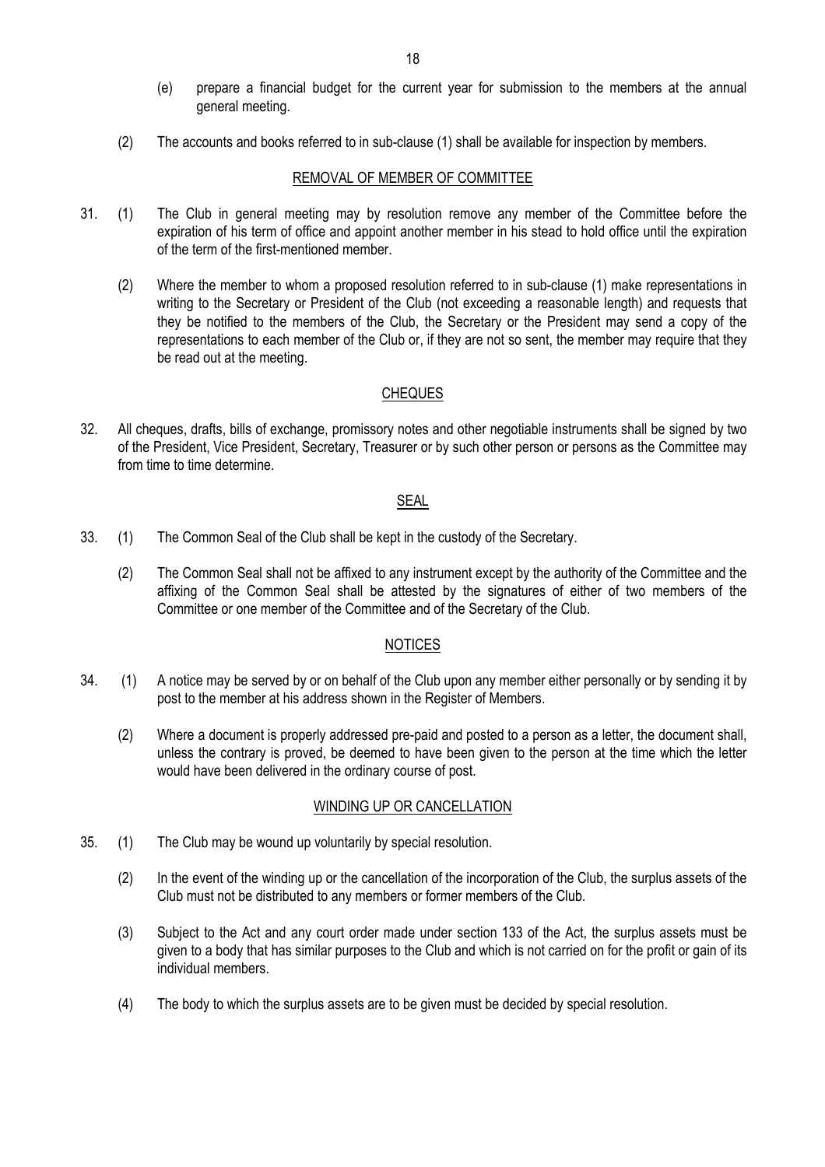- (e) prepare a financial budget for the current year for submission to the members at the annual general meeting.
- (2) The accounts and books referred to in sub-clause (1) shall be available for inspection by members.

#### REMOVAL OF MEMBER OF COMMITTEE

- 31. (1) The Club in general meeting may by resolution remove any member of the Committee before the expiration of his term of office and appoint another member in his stead to hold office until the expiration of the term of the first-mentioned member.
	- (2) Where the member to whom a proposed resolution referred to in sub-clause (1) make representations in writing to the Secretary or President of the Club (not exceeding a reasonable length) and requests that they be notified to the members of the Club, the Secretary or the President may send a copy of the representations to each member of the Club or, if they are not so sent, the member may require that they be read out at the meeting.

### **CHEQUES**

32. All cheques, drafts, bills of exchange, promissory notes and other negotiable instruments shall be signed by two of the President, Vice President, Secretary, Treasurer or by such other person or persons as the Committee may from time to time determine.

### SEAL

- 33. (1) The Common Seal of the Club shall be kept in the custody of the Secretary.
	- (2) The Common Seal shall not be affixed to any instrument except by the authority of the Committee and the affixing of the Common Seal shall be attested by the signatures of either of two members of the Committee or one member of the Committee and of the Secretary of the Club.

### NOTICES

- 34. (1) A notice may be served by or on behalf of the Club upon any member either personally or by sending it by post to the member at his address shown in the Register of Members.
	- (2) Where a document is properly addressed pre-paid and posted to a person as a letter, the document shall, unless the contrary is proved, be deemed to have been given to the person at the time which the letter would have been delivered in the ordinary course of post.

#### WINDING UP OR CANCELLATION

- 35. (1) The Club may be wound up voluntarily by special resolution.
	- (2) In the event of the winding up or the cancellation of the incorporation of the Club, the surplus assets of the Club must not be distributed to any members or former members of the Club.
	- (3) Subject to the Act and any court order made under section 133 of the Act, the surplus assets must be given to a body that has similar purposes to the Club and which is not carried on for the profit or gain of its individual members.
	- (4) The body to which the surplus assets are to be given must be decided by special resolution.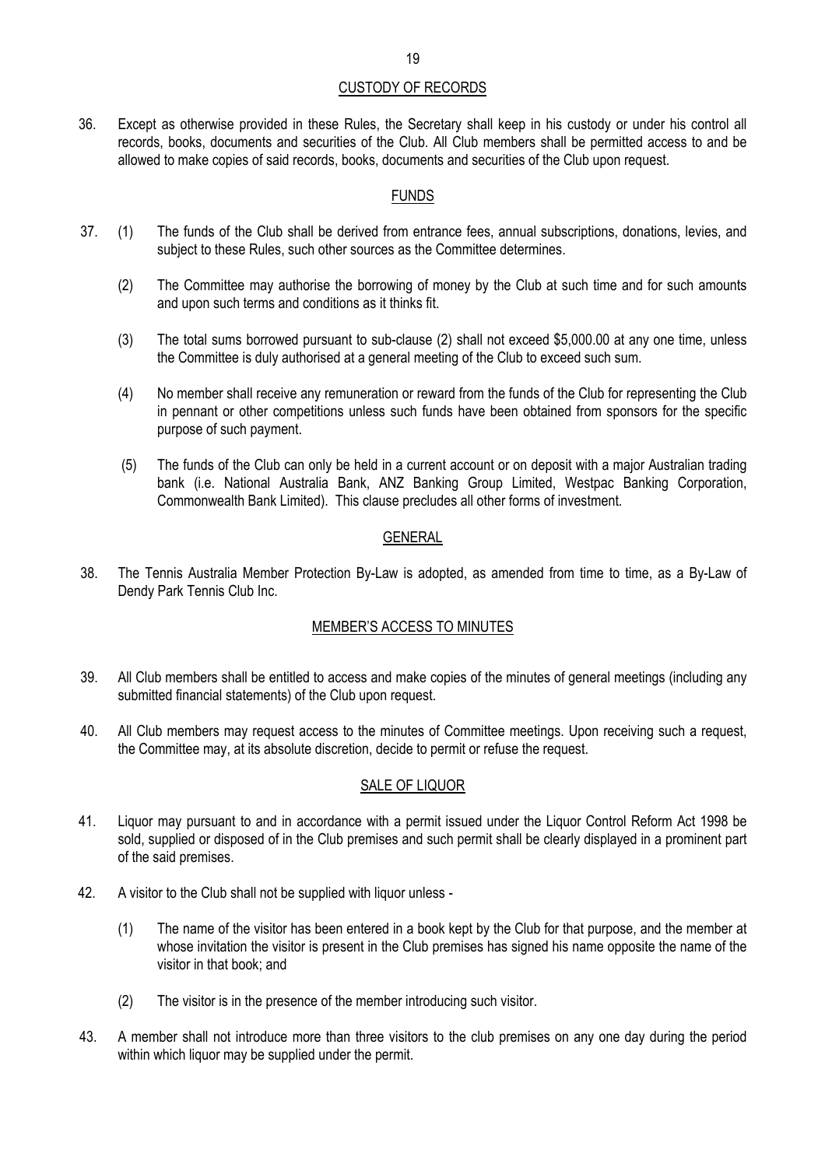### CUSTODY OF RECORDS

36. Except as otherwise provided in these Rules, the Secretary shall keep in his custody or under his control all records, books, documents and securities of the Club. All Club members shall be permitted access to and be allowed to make copies of said records, books, documents and securities of the Club upon request.

### FUNDS

- 37. (1) The funds of the Club shall be derived from entrance fees, annual subscriptions, donations, levies, and subject to these Rules, such other sources as the Committee determines.
	- (2) The Committee may authorise the borrowing of money by the Club at such time and for such amounts and upon such terms and conditions as it thinks fit.
	- (3) The total sums borrowed pursuant to sub-clause (2) shall not exceed \$5,000.00 at any one time, unless the Committee is duly authorised at a general meeting of the Club to exceed such sum.
	- (4) No member shall receive any remuneration or reward from the funds of the Club for representing the Club in pennant or other competitions unless such funds have been obtained from sponsors for the specific purpose of such payment.
	- (5) The funds of the Club can only be held in a current account or on deposit with a major Australian trading bank (i.e. National Australia Bank, ANZ Banking Group Limited, Westpac Banking Corporation, Commonwealth Bank Limited). This clause precludes all other forms of investment.

### GENERAL

38. The Tennis Australia Member Protection By-Law is adopted, as amended from time to time, as a By-Law of Dendy Park Tennis Club Inc.

### MEMBER'S ACCESS TO MINUTES

- 39. All Club members shall be entitled to access and make copies of the minutes of general meetings (including any submitted financial statements) of the Club upon request.
- 40. All Club members may request access to the minutes of Committee meetings. Upon receiving such a request, the Committee may, at its absolute discretion, decide to permit or refuse the request.

### SALE OF LIQUOR

- 41. Liquor may pursuant to and in accordance with a permit issued under the Liquor Control Reform Act 1998 be sold, supplied or disposed of in the Club premises and such permit shall be clearly displayed in a prominent part of the said premises.
- 42. A visitor to the Club shall not be supplied with liquor unless -
	- (1) The name of the visitor has been entered in a book kept by the Club for that purpose, and the member at whose invitation the visitor is present in the Club premises has signed his name opposite the name of the visitor in that book; and
	- (2) The visitor is in the presence of the member introducing such visitor.
- 43. A member shall not introduce more than three visitors to the club premises on any one day during the period within which liquor may be supplied under the permit.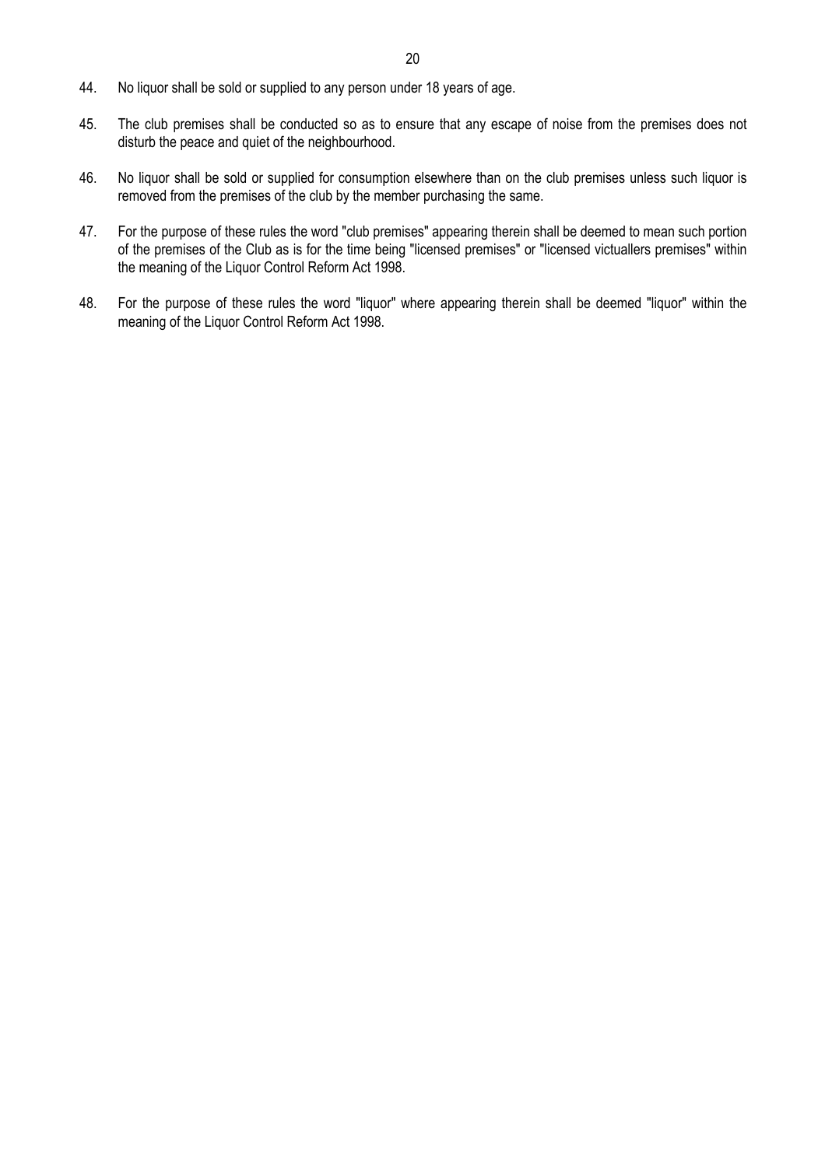- 44. No liquor shall be sold or supplied to any person under 18 years of age.
- 45. The club premises shall be conducted so as to ensure that any escape of noise from the premises does not disturb the peace and quiet of the neighbourhood.
- 46. No liquor shall be sold or supplied for consumption elsewhere than on the club premises unless such liquor is removed from the premises of the club by the member purchasing the same.
- 47. For the purpose of these rules the word "club premises" appearing therein shall be deemed to mean such portion of the premises of the Club as is for the time being "licensed premises" or "licensed victuallers premises" within the meaning of the Liquor Control Reform Act 1998.
- 48. For the purpose of these rules the word "liquor" where appearing therein shall be deemed "liquor" within the meaning of the Liquor Control Reform Act 1998.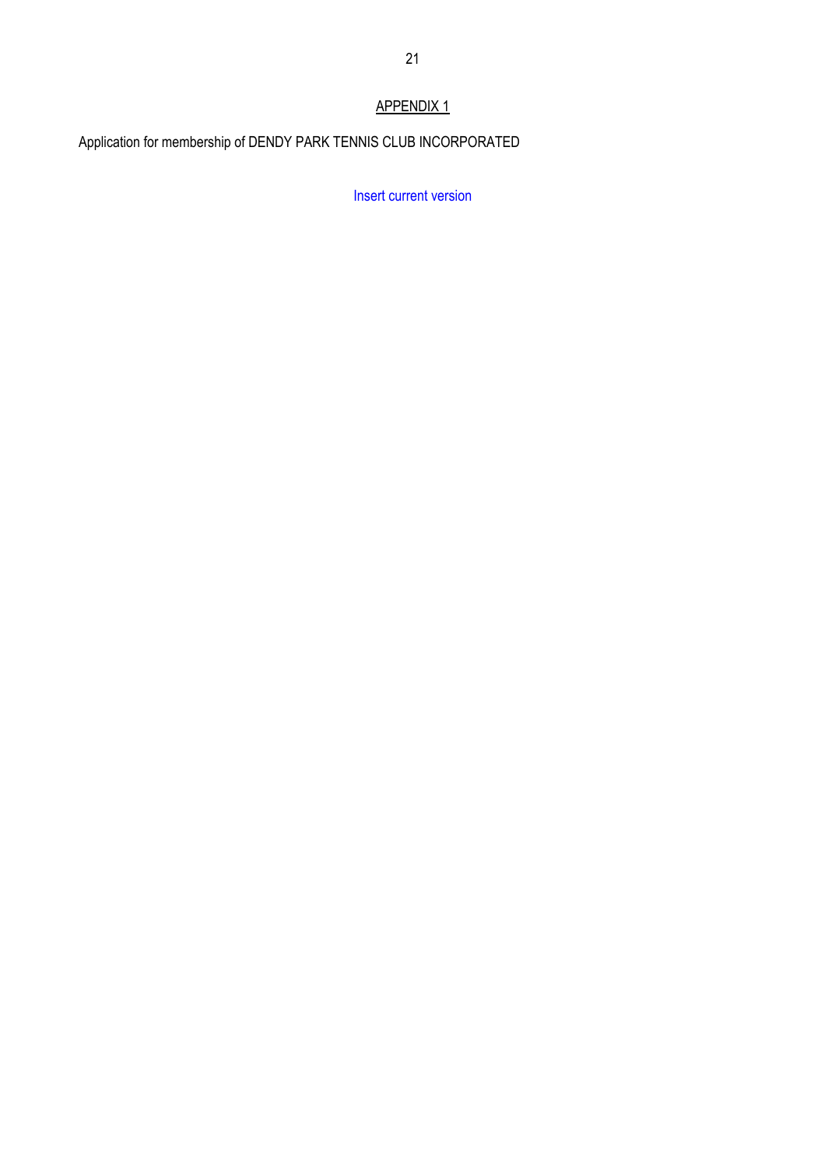# APPENDIX 1

Application for membership of DENDY PARK TENNIS CLUB INCORPORATED

Insert current version